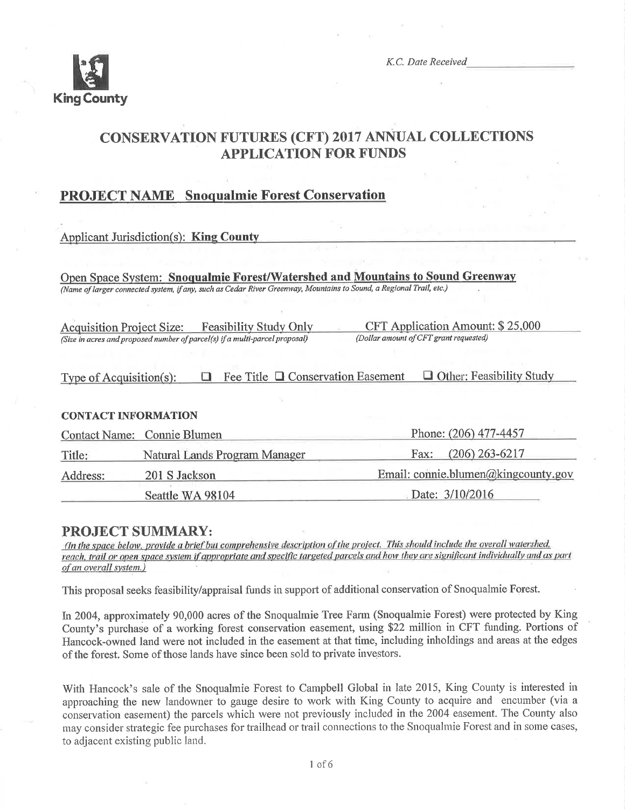

K.C. Date Received

# **CONSERVATION FUTURES (CFT) 2017 ANNUAL COLLECTIONS APPLICATION FOR FUNDS**

## **PROJECT NAME** Snoqualmie Forest Conservation

### **Applicant Jurisdiction(s): King County**

Open Space System: Snoqualmie Forest/Watershed and Mountains to Sound Greenway (Name of larger connected system, if any, such as Cedar River Greenway, Mountains to Sound, a Regional Trail, etc.)

**Feasibility Study Only Acquisition Project Size:** (Size in acres and proposed number of parcel(s) if a multi-parcel proposal)

CFT Application Amount: \$25,000 (Dollar amount of CFT grant requested)

| Type of Acquisition(s): |  |  | $\Box$ Fee Title $\Box$ Conservation Easement | $\Box$ Other: Feasibility Study |  |
|-------------------------|--|--|-----------------------------------------------|---------------------------------|--|
|-------------------------|--|--|-----------------------------------------------|---------------------------------|--|

### **CONTACT INFORMATION**

|          | Contact Name: Connie Blumen   | Phone: (206) 477-4457               |
|----------|-------------------------------|-------------------------------------|
| Title:   | Natural Lands Program Manager | Fax: $(206)$ 263-6217               |
| Address: | 201 S Jackson                 | Email: connie.blumen@kingcounty.gov |
|          | Seattle WA 98104              | Date: $3/10/2016$                   |

### **PROJECT SUMMARY:**

(In the space below, provide a brief but comprehensive description of the project. This should include the overall watershed, reach, trail or open space system if appropriate and specific targeted parcels and how they are significant individually and as part of an overall system.)

This proposal seeks feasibility/appraisal funds in support of additional conservation of Snoqualmie Forest.

In 2004, approximately 90,000 acres of the Snoqualmie Tree Farm (Snoqualmie Forest) were protected by King County's purchase of a working forest conservation easement, using \$22 million in CFT funding. Portions of Hancock-owned land were not included in the easement at that time, including inholdings and areas at the edges of the forest. Some of those lands have since been sold to private investors.

With Hancock's sale of the Snoqualmie Forest to Campbell Global in late 2015, King County is interested in approaching the new landowner to gauge desire to work with King County to acquire and encumber (via a conservation easement) the parcels which were not previously included in the 2004 easement. The County also may consider strategic fee purchases for trailhead or trail connections to the Snoqualmie Forest and in some cases, to adjacent existing public land.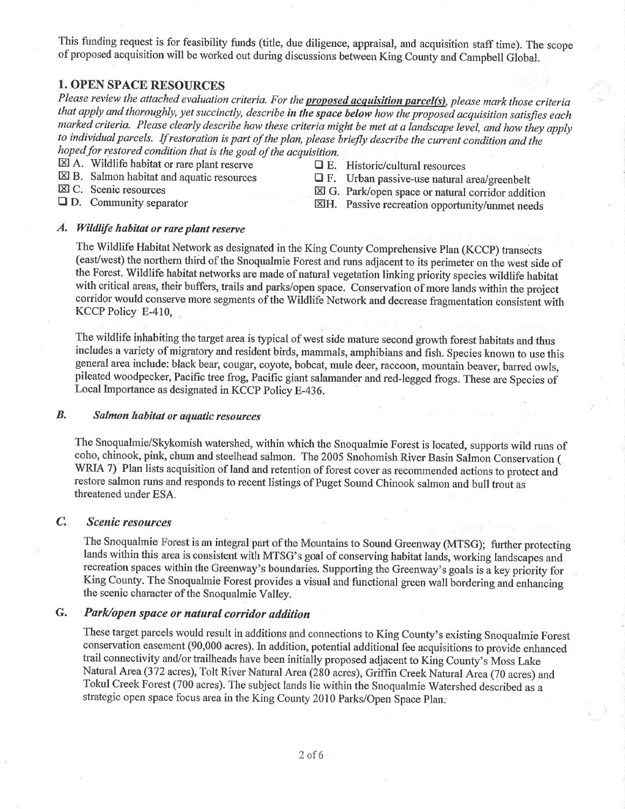This funding request is for feasibility funds (title, due diligence, appraisal, and acquisition staff time). The scope of proposed acquisition will be worked out during discussions between King County and Campbell Global.

## **1. OPEN SPACE RESOURCES**

Please review the attached evaluation criteria. For the proposed acquisition parcel(s), please mark those criteria that apply and thoroughly, yet succinctly, describe in the space below how the proposed acquisition satisfies each marked criteria. Please clearly describe how these criteria might be met at a landscape level, and how they apply to individual parcels. If restoration is part of the plan, please briefly describe the current condition and the hoped for restored condition that is the goal of the acquisition.

- $\boxtimes$  A. Wildlife habitat or rare plant reserve
- $\boxtimes$  B. Salmon habitat and aquatic resources
- 区 C. Scenic resources
- $\Box$  E. Historic/cultural resources
- $\Box$  F. Urban passive-use natural area/greenbelt

 $\Box$  D. Community separator

- ⊠ G. Park/open space or natural corridor addition XH. Passive recreation opportunity/unmet needs
- 

### A. Wildlife habitat or rare plant reserve

The Wildlife Habitat Network as designated in the King County Comprehensive Plan (KCCP) transects (east/west) the northern third of the Snoqualmie Forest and runs adjacent to its perimeter on the west side of the Forest. Wildlife habitat networks are made of natural vegetation linking priority species wildlife habitat with critical areas, their buffers, trails and parks/open space. Conservation of more lands within the project corridor would conserve more segments of the Wildlife Network and decrease fragmentation consistent with KCCP Policy E-410,

The wildlife inhabiting the target area is typical of west side mature second growth forest habitats and thus includes a variety of migratory and resident birds, mammals, amphibians and fish. Species known to use this general area include: black bear, cougar, coyote, bobcat, mule deer, raccoon, mountain beaver, barred owls, pileated woodpecker, Pacific tree frog, Pacific giant salamander and red-legged frogs. These are Species of Local Importance as designated in KCCP Policy E-436.

#### B. Salmon habitat or aquatic resources

The Snoqualmie/Skykomish watershed, within which the Snoqualmie Forest is located, supports wild runs of coho, chinook, pink, chum and steelhead salmon. The 2005 Snohomish River Basin Salmon Conservation ( WRIA 7) Plan lists acquisition of land and retention of forest cover as recommended actions to protect and restore salmon runs and responds to recent listings of Puget Sound Chinook salmon and bull trout as threatened under ESA.

#### $\mathcal{C}$ **Scenic resources**

The Snoqualmie Forest is an integral part of the Mountains to Sound Greenway (MTSG); further protecting lands within this area is consistent with MTSG's goal of conserving habitat lands, working landscapes and recreation spaces within the Greenway's boundaries. Supporting the Greenway's goals is a key priority for King County. The Snoqualmie Forest provides a visual and functional green wall bordering and enhancing the scenic character of the Snoqualmie Valley.

#### G. Park/open space or natural corridor addition

These target parcels would result in additions and connections to King County's existing Snoqualmie Forest conservation easement (90,000 acres). In addition, potential additional fee acquisitions to provide enhanced trail connectivity and/or trailheads have been initially proposed adjacent to King County's Moss Lake Natural Area (372 acres), Tolt River Natural Area (280 acres), Griffin Creek Natural Area (70 acres) and Tokul Creek Forest (700 acres). The subject lands lie within the Snoqualmie Watershed described as a strategic open space focus area in the King County 2010 Parks/Open Space Plan.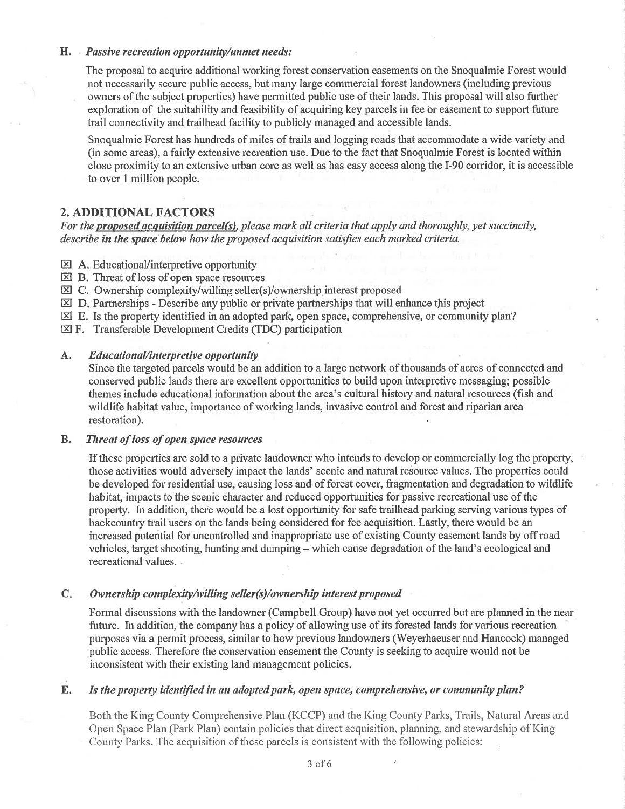### $H.$  Passive recreation opportunity/unmet needs:

The proposal to acquire additional working forest conservation easements on the Snoqualmie Forest would not necessarily secure public access, but many large comrnercial forest landowners (including previous owners of the subject properties) have permitted public use of their lands. This proposal will also further exploration of the suitability and feasibility of acquiring key parcels in fee or easement to support future trail connectivity and trailhead facility to publicly managed and accessible lands.

Snoqualmie Forest has hundreds of miles of trails and logging roads that accommodate a wide variety and (in some areas), a fairly extensive recreation use. Due to the fact that Snoqualmie Forest is located within close proximity to an extensive urban core as well as has easy access along the I-90 corridor, it is accessible to over 1 million people.

## 2. ADDITIONAL FACTORS

For the proposed acquisition parcel(s), please mark all criteria that apply and thoroughly, yet succinctly, describe in the space below how the proposed acquisition satisfies each marked criteria.

- **EXI A.** Educational/interpretive opportunity
- EI B. Threat of loss of open space resources
- **EQUIC.** Ownership complexity/willing seller(s)/ownership interest proposed
- $\boxtimes$  D. Partnerships Describe any public or private partnerships that will enhance this project
- $\boxtimes$  E. Is the property identified in an adopted park, open space, comprehensive, or community plan?
- EF. Transferable Development Credits (TDC) participation

#### Ä. Educational/interpretive opportunity

Since the targeted parcels would be an addition to a large network of thousands of acres of connected and conserved public lands there are excellent opportunities to build upon interpretive messaging; possible themes include educational infonnation about the area's cultural history and natural resources (fish and wildlife habitat value, importance of working lands, invasive control and forest and riparian area restoration)

### B. Threat of loss of open space resources

If these properties are sold to a private landowner who intends to develop or commercially log the property, those activities would adversely impact the lands' scenic and natural resource values. The properties could be developed for residential use, causing loss and of forest cover, fragrnentation and degradation to wildlife habitat, impacts to the scenic character and reduced opportunities for passive recreational use of the properly. In addition, thefe would be a lost opportunity for safe trailhead parking serving various types of backcountry trail users on the lands being considered for fee acquisition. Lastly, there would be an increased potential for uncontrolled and inappropriate use of existing County easement lands by off road vehicles, target shooting, hunting and dumping - which cause degradation of the land's ecological and recreational values.

### C. Ownership complexity/willing seller(s)/ownership interest proposed

Formal discussions with the landowner (Campbell Group) have not yet occurred but are planned in the near future. In addition, the company has a policy of allowing use of its forested lands for various recreation purposes via a permit process, sirnilar to how previous landowners (Weyerhaeuser and Hancock) managed public access. Therefore the conservation easement the County is seeking to acquire would not be inconsistent with their existing land management policies.

### E. Is the property identified in an adopted park, open space, comprehensive, or community plan?

Both the King County Comprehensive Plan (KCCP) and the King County Parks, Trails, Natural Areas ancl Open Space Plan (Park Plan) contain policies that direct acquisition, planning, and stewardship of King County Parks. The acquisition of these parcels is consistent with the following policies: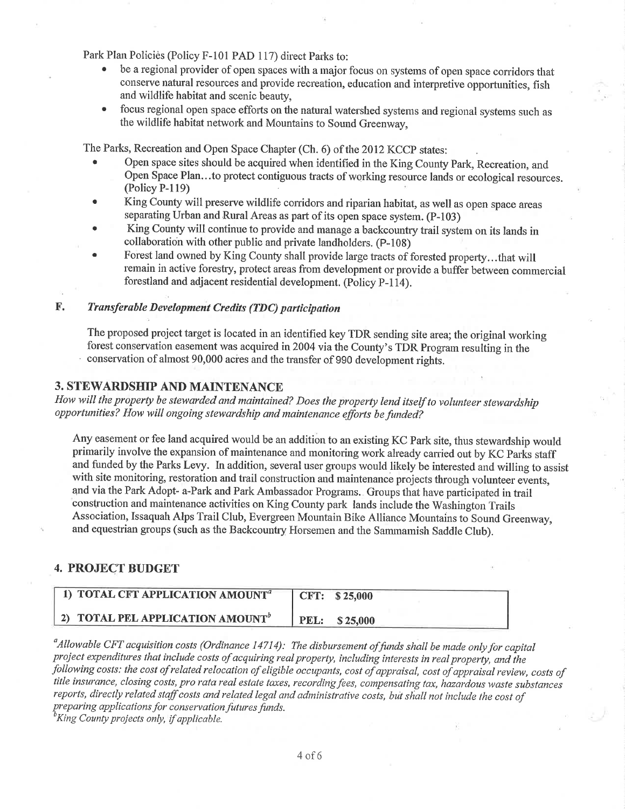Park Plan Policies (Policy F-101 PAD 117) direct Parks to:

- be a regional provider of open spaces with a major focus on systems of open space corridors that conserve natural resources and provide recreation, education and interpretive opportunities, fish and wildlife habitat and scenic beauty,
- . focus regional open space efforts on the natural watershed systems and regional systems such as the wildlife habitat network and Mountains to Sound Greenway,

The Parks, Recreation and Open Space Chapter (Ch. 6) of the 2012 KCCP states:

- . Open space sites should be acquired when identified in the King County Park, Recreation, and Open Space Plan...to protect contiguous tracts of working resource lands or ecological resources. (Policy P-l19)
- . King County will preserve wildlife coridors and riparian habitat, as well as open space areas separating Urban and Rural Areas as part of its open space system. (P-103)
- . King County will continue to provide and manage a backcountry trail system on its lands in collaboratioh with other public and private landholders. (p-108)
- Forest land owned by King County shall provide large tracts of forested property...that will remain in active forestry, protect areas from development or provide a buffer between commercial forestland and adjacent residential development. (Policy p-l14).

### F. Transferable Development Credits (TDC) participation

The proposed project target is located in an identified key TDR sending site area; the original working forest conservation easement was acquired in 2004 via the County's TDR Program resulting in the conservation of almost 90,000 acres and the transfer of 990 development rights.

## 3. STEWARDSHIP AND MAINTENANCE

How will the property be stewarded and maintained? Does the property lend itself to volunteer stewardshíp opportunities? How will ongoing stewardship and maintenance efforts be funded?

Any easement or fee land acquired would be an addition to an existing KC Park site, thus stewardship would primarily involve the expansion of maintenance and monitoring work already carried out by KC Parks staff and funded by the Parks Levy. In addition, several user groups would likely be interested and willing to assist with site monitoring, restoration and trail construction and maintenance projects through volunteer events, and via the Park Adopt- a-Park and Park Ambassador Programs. Groups that have participated in trail construction and maintenance activities on King County park lands include the Washington Trails Association, Issaquah Alps Trail Club, Evergreen Mountain Bike Alliance Mountains to Sound Greenway, and equestrian groups (such as the Backcountry Horsemen and the Sammamish Saddle Club).

### 4. PROJECT BUDGET

| 1) TOTAL CFT APPLICATION AMOUNT <sup>a</sup> | CFT: \$25,000        |
|----------------------------------------------|----------------------|
| 2) TOTAL PEL APPLICATION AMOUNT <sup>b</sup> | <b>PEL:</b> \$25,000 |

<sup>a</sup> Allowable CFT acquisition costs (Ordinance 14714): The disbursement of funds shall be made only for capital project expenditures that include costs of acquiring real property, including interests in real property, and the following costs: the cost of related relocation of eligible occupants, cost of appraisal, cost of appraisal review, costs of title insurance, closing costs, pro rata real estate taxes, recording fees, compensating tax, hazardous waste substances reports, directly related staff costs and related legal and administrative costs, but shall not include the cost of preparing applications for conservation futures funds.

<sup>b</sup>King County projects only, if applicable.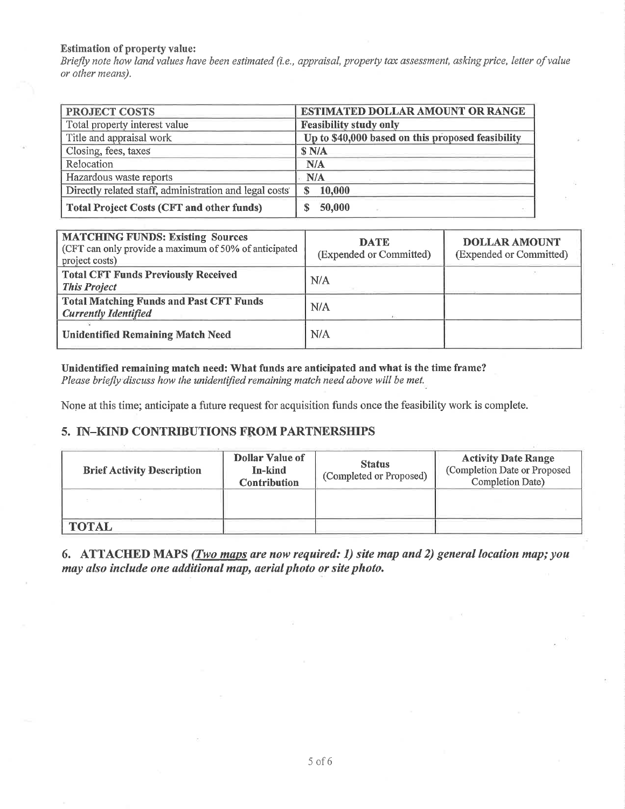### **Estimation of property value:**

Briefly note how land values have been estimated (i.e., appraisal, property tax assessment, asking price, letter of value or other means).

| <b>PROJECT COSTS</b>                                   | <b>ESTIMATED DOLLAR AMOUNT OR RANGE</b>           |  |  |
|--------------------------------------------------------|---------------------------------------------------|--|--|
| Total property interest value                          | <b>Feasibility study only</b>                     |  |  |
| Title and appraisal work                               | Up to \$40,000 based on this proposed feasibility |  |  |
| Closing, fees, taxes                                   | \$N/A                                             |  |  |
| Relocation                                             | N/A                                               |  |  |
| Hazardous waste reports                                | N/A                                               |  |  |
| Directly related staff, administration and legal costs | 10,000<br>S                                       |  |  |
| <b>Total Project Costs (CFT and other funds)</b>       | 50,000                                            |  |  |

| <b>MATCHING FUNDS: Existing Sources</b><br>(CFT can only provide a maximum of 50% of anticipated<br>project costs) | <b>DATE</b><br>(Expended or Committed) | <b>DOLLAR AMOUNT</b><br>(Expended or Committed) |
|--------------------------------------------------------------------------------------------------------------------|----------------------------------------|-------------------------------------------------|
| <b>Total CFT Funds Previously Received</b><br><b>This Project</b>                                                  | N/A                                    |                                                 |
| <b>Total Matching Funds and Past CFT Funds</b><br><b>Currently Identified</b>                                      | N/A                                    |                                                 |
| <b>Unidentified Remaining Match Need</b>                                                                           | N/A                                    |                                                 |

### Unidentified remaining match need: What funds are anticipated and what is the time frame?

Please briefly discuss how the unidentified remaining match need above will be met.

None at this time; anticipate a future request for acquisition funds once the feasibility work is complete.

### 5. IN-KIND CONTRIBUTIONS FROM PARTNERSHIPS

| <b>Brief Activity Description</b> | <b>Dollar Value of</b><br>In-kind<br><b>Contribution</b> | <b>Status</b><br>(Completed or Proposed) | <b>Activity Date Range</b><br>(Completion Date or Proposed<br>Completion Date) |
|-----------------------------------|----------------------------------------------------------|------------------------------------------|--------------------------------------------------------------------------------|
|                                   |                                                          |                                          |                                                                                |
| <b>TOTAL</b>                      |                                                          |                                          |                                                                                |

6. ATTACHED MAPS (*Two maps are now required: 1*) site map and 2) general location map; you may also include one additional map, aerial photo or site photo.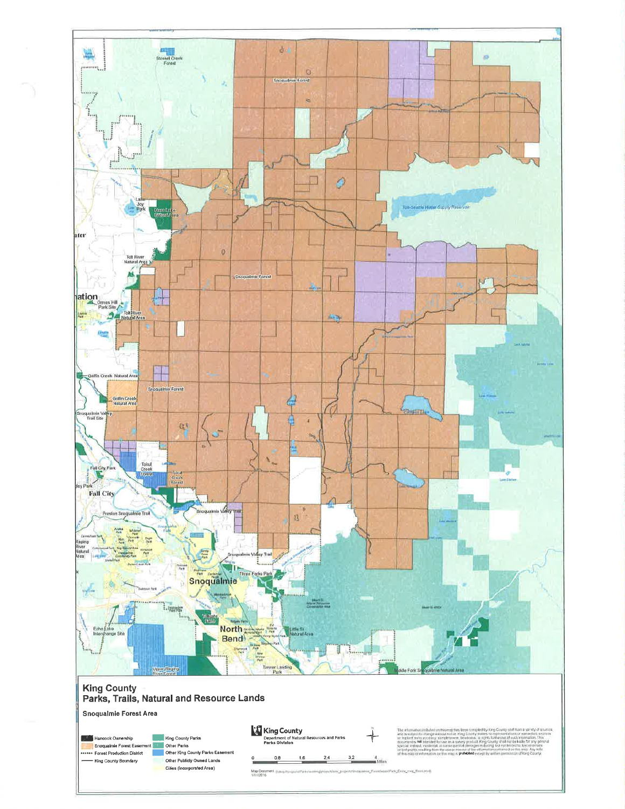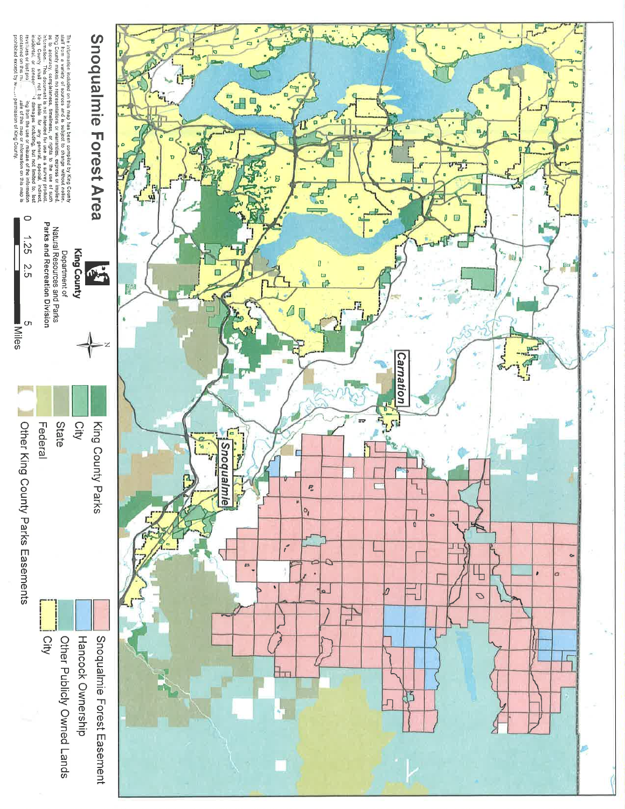